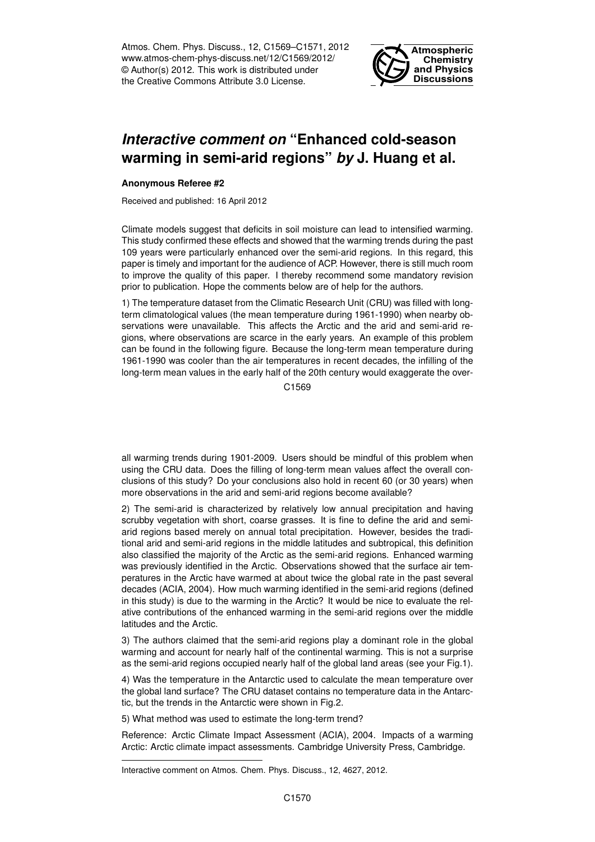Atmos. Chem. Phys. Discuss., 12, C1569–C1571, 2012 www.atmos-chem-phys-discuss.net/12/C1569/2012/ © Author(s) 2012. This work is distributed under the Creative Commons Attribute 3.0 License.



## *Interactive comment on* **"Enhanced cold-season warming in semi-arid regions"** *by* **J. Huang et al.**

## **Anonymous Referee #2**

Received and published: 16 April 2012

Climate models suggest that deficits in soil moisture can lead to intensified warming. This study confirmed these effects and showed that the warming trends during the past 109 years were particularly enhanced over the semi-arid regions. In this regard, this paper is timely and important for the audience of ACP. However, there is still much room to improve the quality of this paper. I thereby recommend some mandatory revision prior to publication. Hope the comments below are of help for the authors.

1) The temperature dataset from the Climatic Research Unit (CRU) was filled with longterm climatological values (the mean temperature during 1961-1990) when nearby observations were unavailable. This affects the Arctic and the arid and semi-arid regions, where observations are scarce in the early years. An example of this problem can be found in the following figure. Because the long-term mean temperature during 1961-1990 was cooler than the air temperatures in recent decades, the infilling of the long-term mean values in the early half of the 20th century would exaggerate the over-

C<sub>1569</sub>

all warming trends during 1901-2009. Users should be mindful of this problem when using the CRU data. Does the filling of long-term mean values affect the overall conclusions of this study? Do your conclusions also hold in recent 60 (or 30 years) when more observations in the arid and semi-arid regions become available?

2) The semi-arid is characterized by relatively low annual precipitation and having scrubby vegetation with short, coarse grasses. It is fine to define the arid and semiarid regions based merely on annual total precipitation. However, besides the traditional arid and semi-arid regions in the middle latitudes and subtropical, this definition also classified the majority of the Arctic as the semi-arid regions. Enhanced warming was previously identified in the Arctic. Observations showed that the surface air temperatures in the Arctic have warmed at about twice the global rate in the past several decades (ACIA, 2004). How much warming identified in the semi-arid regions (defined in this study) is due to the warming in the Arctic? It would be nice to evaluate the relative contributions of the enhanced warming in the semi-arid regions over the middle latitudes and the Arctic.

3) The authors claimed that the semi-arid regions play a dominant role in the global warming and account for nearly half of the continental warming. This is not a surprise as the semi-arid regions occupied nearly half of the global land areas (see your Fig.1).

4) Was the temperature in the Antarctic used to calculate the mean temperature over the global land surface? The CRU dataset contains no temperature data in the Antarctic, but the trends in the Antarctic were shown in Fig.2.

5) What method was used to estimate the long-term trend?

Reference: Arctic Climate Impact Assessment (ACIA), 2004. Impacts of a warming Arctic: Arctic climate impact assessments. Cambridge University Press, Cambridge.

Interactive comment on Atmos. Chem. Phys. Discuss., 12, 4627, 2012.